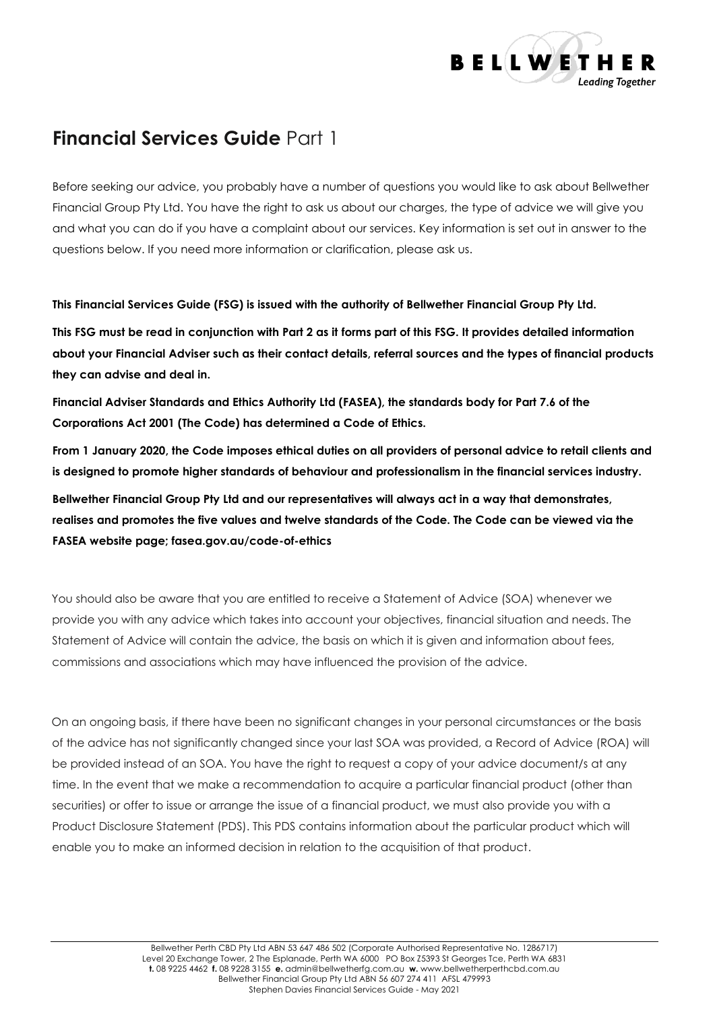

# **Financial Services Guide** Part 1

Before seeking our advice, you probably have a number of questions you would like to ask about Bellwether Financial Group Pty Ltd. You have the right to ask us about our charges, the type of advice we will give you and what you can do if you have a complaint about our services. Key information is set out in answer to the questions below. If you need more information or clarification, please ask us.

**This Financial Services Guide (FSG) is issued with the authority of Bellwether Financial Group Pty Ltd.** 

**This FSG must be read in conjunction with Part 2 as it forms part of this FSG. It provides detailed information about your Financial Adviser such as their contact details, referral sources and the types of financial products they can advise and deal in.**

**Financial Adviser Standards and Ethics Authority Ltd (FASEA), the standards body for Part 7.6 of the Corporations Act 2001 (The Code) has determined a Code of Ethics.**

**From 1 January 2020, the Code imposes ethical duties on all providers of personal advice to retail clients and is designed to promote higher standards of behaviour and professionalism in the financial services industry.**

**Bellwether Financial Group Pty Ltd and our representatives will always act in a way that demonstrates, realises and promotes the five values and twelve standards of the Code. The Code can be viewed via the FASEA website page; fasea.gov.au/code-of-ethics**

You should also be aware that you are entitled to receive a Statement of Advice (SOA) whenever we provide you with any advice which takes into account your objectives, financial situation and needs. The Statement of Advice will contain the advice, the basis on which it is given and information about fees, commissions and associations which may have influenced the provision of the advice.

On an ongoing basis, if there have been no significant changes in your personal circumstances or the basis of the advice has not significantly changed since your last SOA was provided, a Record of Advice (ROA) will be provided instead of an SOA. You have the right to request a copy of your advice document/s at any time. In the event that we make a recommendation to acquire a particular financial product (other than securities) or offer to issue or arrange the issue of a financial product, we must also provide you with a Product Disclosure Statement (PDS). This PDS contains information about the particular product which will enable you to make an informed decision in relation to the acquisition of that product.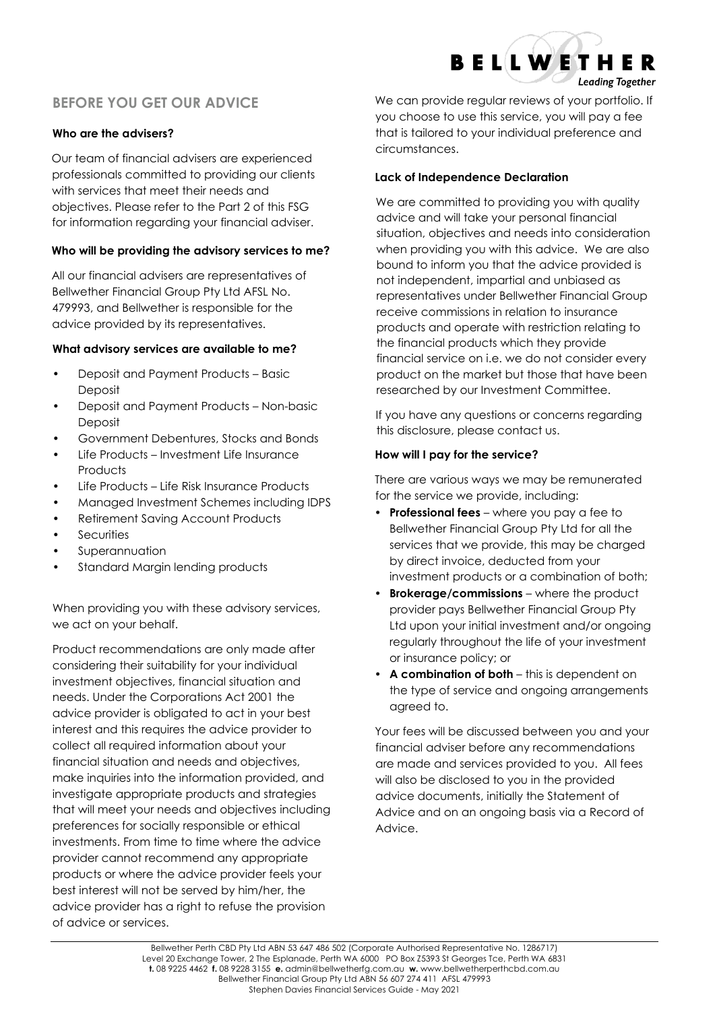# **BEFORE YOU GET OUR ADVICE**

# **Who are the advisers?**

Our team of financial advisers are experienced professionals committed to providing our clients with services that meet their needs and objectives. Please refer to the Part 2 of this FSG for information regarding your financial adviser.

### **Who will be providing the advisory services to me?**

All our financial advisers are representatives of Bellwether Financial Group Pty Ltd AFSL No. 479993, and Bellwether is responsible for the advice provided by its representatives.

#### **What advisory services are available to me?**

- **•** Deposit and Payment Products Basic Deposit
- **•** Deposit and Payment Products Non-basic Deposit
- **•** Government Debentures, Stocks and Bonds
- **•** Life Products Investment Life Insurance **Products**
- **•** Life Products Life Risk Insurance Products
- **•** Managed Investment Schemes including IDPS
- **•** Retirement Saving Account Products
- **•** Securities
- **•** Superannuation
- **•** Standard Margin lending products

When providing you with these advisory services, we act on your behalf.

Product recommendations are only made after considering their suitability for your individual investment objectives, financial situation and needs. Under the Corporations Act 2001 the advice provider is obligated to act in your best interest and this requires the advice provider to collect all required information about your financial situation and needs and objectives, make inquiries into the information provided, and investigate appropriate products and strategies that will meet your needs and objectives including preferences for socially responsible or ethical investments. From time to time where the advice provider cannot recommend any appropriate products or where the advice provider feels your best interest will not be served by him/her, the advice provider has a right to refuse the provision of advice or services.

We can provide regular reviews of your portfolio. If you choose to use this service, you will pay a fee that is tailored to your individual preference and circumstances.

**BELLWETHER** 

**Leading Together** 

### **Lack of Independence Declaration**

We are committed to providing you with quality advice and will take your personal financial situation, objectives and needs into consideration when providing you with this advice. We are also bound to inform you that the advice provided is not independent, impartial and unbiased as representatives under Bellwether Financial Group receive commissions in relation to insurance products and operate with restriction relating to the financial products which they provide financial service on i.e. we do not consider every product on the market but those that have been researched by our Investment Committee.

If you have any questions or concerns regarding this disclosure, please contact us.

## **How will I pay for the service?**

There are various ways we may be remunerated for the service we provide, including:

- **• Professional fees** where you pay a fee to Bellwether Financial Group Pty Ltd for all the services that we provide, this may be charged by direct invoice, deducted from your investment products or a combination of both;
- **• Brokerage/commissions** where the product provider pays Bellwether Financial Group Pty Ltd upon your initial investment and/or ongoing regularly throughout the life of your investment or insurance policy; or
- **• A combination of both** this is dependent on the type of service and ongoing arrangements agreed to.

Your fees will be discussed between you and your financial adviser before any recommendations are made and services provided to you. All fees will also be disclosed to you in the provided advice documents, initially the Statement of Advice and on an ongoing basis via a Record of Advice.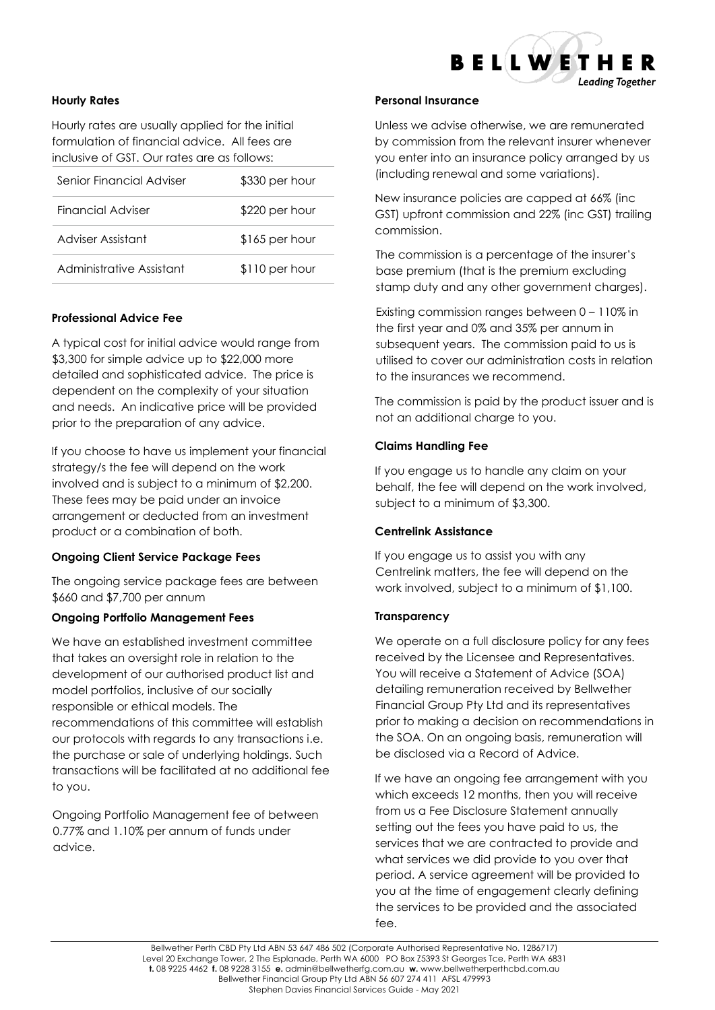

#### **Hourly Rates**

Hourly rates are usually applied for the initial formulation of financial advice. All fees are inclusive of GST. Our rates are as follows:

| Senior Financial Adviser | \$330 per hour |
|--------------------------|----------------|
| Financial Adviser        | \$220 per hour |
| Adviser Assistant        | \$165 per hour |
| Administrative Assistant | \$110 per hour |

#### **Professional Advice Fee**

A typical cost for initial advice would range from \$3,300 for simple advice up to \$22,000 more detailed and sophisticated advice. The price is dependent on the complexity of your situation and needs. An indicative price will be provided prior to the preparation of any advice.

If you choose to have us implement your financial strategy/s the fee will depend on the work involved and is subject to a minimum of \$2,200. These fees may be paid under an invoice arrangement or deducted from an investment product or a combination of both.

#### **Ongoing Client Service Package Fees**

The ongoing service package fees are between \$660 and \$7,700 per annum

#### **Ongoing Portfolio Management Fees**

We have an established investment committee that takes an oversight role in relation to the development of our authorised product list and model portfolios, inclusive of our socially responsible or ethical models. The recommendations of this committee will establish our protocols with regards to any transactions i.e. the purchase or sale of underlying holdings. Such transactions will be facilitated at no additional fee to you.

Ongoing Portfolio Management fee of between 0.77% and 1.10% per annum of funds under advice.

#### **Personal Insurance**

Unless we advise otherwise, we are remunerated by commission from the relevant insurer whenever you enter into an insurance policy arranged by us (including renewal and some variations).

New insurance policies are capped at 66% (inc GST) upfront commission and 22% (inc GST) trailing commission.

The commission is a percentage of the insurer's base premium (that is the premium excluding stamp duty and any other government charges).

Existing commission ranges between 0 – 110% in the first year and 0% and 35% per annum in subsequent years. The commission paid to us is utilised to cover our administration costs in relation to the insurances we recommend.

The commission is paid by the product issuer and is not an additional charge to you.

#### **Claims Handling Fee**

If you engage us to handle any claim on your behalf, the fee will depend on the work involved, subject to a minimum of \$3,300.

#### **Centrelink Assistance**

If you engage us to assist you with any Centrelink matters, the fee will depend on the work involved, subject to a minimum of \$1,100.

#### **Transparency**

We operate on a full disclosure policy for any fees received by the Licensee and Representatives. You will receive a Statement of Advice (SOA) detailing remuneration received by Bellwether Financial Group Pty Ltd and its representatives prior to making a decision on recommendations in the SOA. On an ongoing basis, remuneration will be disclosed via a Record of Advice.

If we have an ongoing fee arrangement with you which exceeds 12 months, then you will receive from us a Fee Disclosure Statement annually setting out the fees you have paid to us, the services that we are contracted to provide and what services we did provide to you over that period. A service agreement will be provided to you at the time of engagement clearly defining the services to be provided and the associated fee.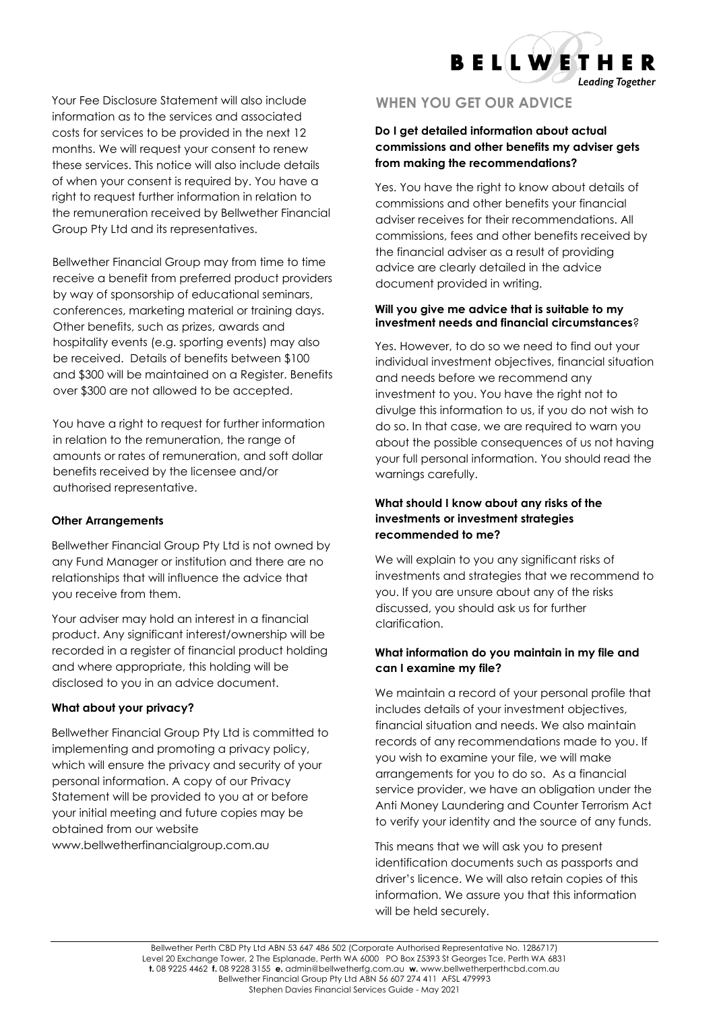**BELLWETHER Leading Together** 

Your Fee Disclosure Statement will also include information as to the services and associated costs for services to be provided in the next 12 months. We will request your consent to renew these services. This notice will also include details of when your consent is required by. You have a right to request further information in relation to the remuneration received by Bellwether Financial Group Pty Ltd and its representatives.

Bellwether Financial Group may from time to time receive a benefit from preferred product providers by way of sponsorship of educational seminars, conferences, marketing material or training days. Other benefits, such as prizes, awards and hospitality events (e.g. sporting events) may also be received. Details of benefits between \$100 and \$300 will be maintained on a Register. Benefits over \$300 are not allowed to be accepted.

You have a right to request for further information in relation to the remuneration, the range of amounts or rates of remuneration, and soft dollar benefits received by the licensee and/or authorised representative.

#### **Other Arrangements**

Bellwether Financial Group Pty Ltd is not owned by any Fund Manager or institution and there are no relationships that will influence the advice that you receive from them.

Your adviser may hold an interest in a financial product. Any significant interest/ownership will be recorded in a register of financial product holding and where appropriate, this holding will be disclosed to you in an advice document.

# **What about your privacy?**

Bellwether Financial Group Pty Ltd is committed to implementing and promoting a privacy policy, which will ensure the privacy and security of your personal information. A copy of our Privacy Statement will be provided to you at or before your initial meeting and future copies may be obtained from our website www.bellwetherfinancialgroup.com.au

# **WHEN YOU GET OUR ADVICE**

# **Do I get detailed information about actual commissions and other benefits my adviser gets from making the recommendations?**

Yes. You have the right to know about details of commissions and other benefits your financial adviser receives for their recommendations. All commissions, fees and other benefits received by the financial adviser as a result of providing advice are clearly detailed in the advice document provided in writing.

## **Will you give me advice that is suitable to my investment needs and financial circumstances**?

Yes. However, to do so we need to find out your individual investment objectives, financial situation and needs before we recommend any investment to you. You have the right not to divulge this information to us, if you do not wish to do so. In that case, we are required to warn you about the possible consequences of us not having your full personal information. You should read the warnings carefully.

# **What should I know about any risks of the investments or investment strategies recommended to me?**

We will explain to you any significant risks of investments and strategies that we recommend to you. If you are unsure about any of the risks discussed, you should ask us for further clarification.

# **What information do you maintain in my file and can I examine my file?**

We maintain a record of your personal profile that includes details of your investment objectives, financial situation and needs. We also maintain records of any recommendations made to you. If you wish to examine your file, we will make arrangements for you to do so. As a financial service provider, we have an obligation under the Anti Money Laundering and Counter Terrorism Act to verify your identity and the source of any funds.

This means that we will ask you to present identification documents such as passports and driver's licence. We will also retain copies of this information. We assure you that this information will be held securely.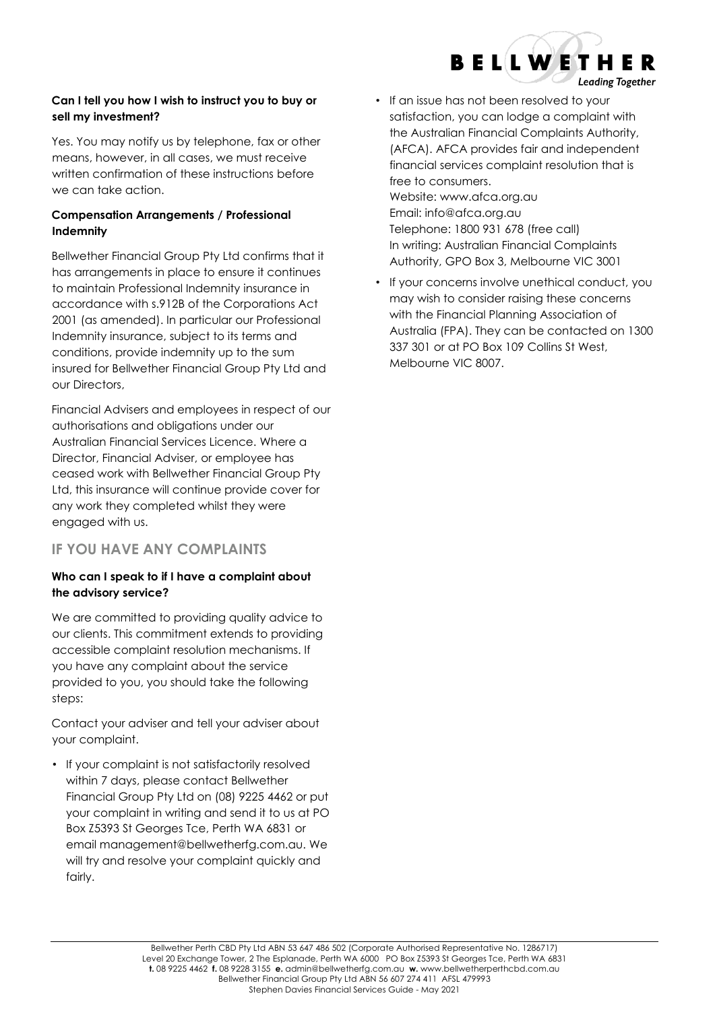

# **Can I tell you how I wish to instruct you to buy or sell my investment?**

Yes. You may notify us by telephone, fax or other means, however, in all cases, we must receive written confirmation of these instructions before we can take action.

# **Compensation Arrangements / Professional Indemnity**

Bellwether Financial Group Pty Ltd confirms that it has arrangements in place to ensure it continues to maintain Professional Indemnity insurance in accordance with s.912B of the Corporations Act 2001 (as amended). In particular our Professional Indemnity insurance, subject to its terms and conditions, provide indemnity up to the sum insured for Bellwether Financial Group Pty Ltd and our Directors,

Financial Advisers and employees in respect of our authorisations and obligations under our Australian Financial Services Licence. Where a Director, Financial Adviser, or employee has ceased work with Bellwether Financial Group Pty Ltd, this insurance will continue provide cover for any work they completed whilst they were engaged with us.

# **IF YOU HAVE ANY COMPLAINTS**

# **Who can I speak to if I have a complaint about the advisory service?**

We are committed to providing quality advice to our clients. This commitment extends to providing accessible complaint resolution mechanisms. If you have any complaint about the service provided to you, you should take the following steps:

Contact your adviser and tell your adviser about your complaint.

• If your complaint is not satisfactorily resolved within 7 days, please contact Bellwether Financial Group Pty Ltd on (08) 9225 4462 or put your complaint in writing and send it to us at PO Box Z5393 St Georges Tce, Perth WA 6831 or email management@bellwetherfg.com.au. We will try and resolve your complaint quickly and fairly.

• If an issue has not been resolved to your satisfaction, you can lodge a complaint with the Australian Financial Complaints Authority, (AFCA). AFCA provides fair and independent financial services complaint resolution that is free to consumers. Website: www.afca.org.au Email: [info@afca.org.au](mailto:info@afca.org.au) Telephone: 1800 931 678 (free call)

In writing: Australian Financial Complaints Authority, GPO Box 3, Melbourne VIC 3001

• If your concerns involve unethical conduct, you may wish to consider raising these concerns with the Financial Planning Association of Australia (FPA). They can be contacted on 1300 337 301 or at PO Box 109 Collins St West, Melbourne VIC 8007.